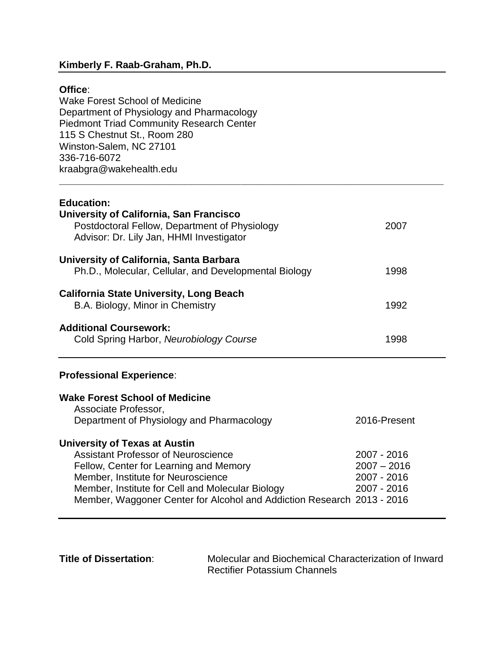## **Kimberly F. Raab-Graham, Ph.D.**

### **Office**:

Wake Forest School of Medicine Department of Physiology and Pharmacology Piedmont Triad Community Research Center 115 S Chestnut St., Room 280 Winston-Salem, NC 27101 336-716-6072 kraabgra@wakehealth.edu

### **Education:**

| University of California, San Francisco<br>Postdoctoral Fellow, Department of Physiology<br>Advisor: Dr. Lily Jan, HHMI Investigator | 2007 |
|--------------------------------------------------------------------------------------------------------------------------------------|------|
| University of California, Santa Barbara<br>Ph.D., Molecular, Cellular, and Developmental Biology                                     | 1998 |
| <b>California State University, Long Beach</b><br>B.A. Biology, Minor in Chemistry                                                   | 1992 |
| <b>Additional Coursework:</b><br>Cold Spring Harbor, Neurobiology Course                                                             | 1998 |

**\_\_\_\_\_\_\_\_\_\_\_\_\_\_\_\_\_\_\_\_\_\_\_\_\_\_\_\_\_\_\_\_\_\_\_\_\_\_\_\_\_\_\_\_\_\_\_\_\_\_\_\_\_\_\_\_\_\_\_\_\_\_\_\_\_\_\_\_\_\_**

# **Professional Experience**:

| <b>Wake Forest School of Medicine</b><br>Associate Professor,<br>Department of Physiology and Pharmacology | 2016-Present  |
|------------------------------------------------------------------------------------------------------------|---------------|
| <b>University of Texas at Austin</b>                                                                       |               |
| <b>Assistant Professor of Neuroscience</b>                                                                 | 2007 - 2016   |
| Fellow, Center for Learning and Memory                                                                     | $2007 - 2016$ |
| Member, Institute for Neuroscience                                                                         | 2007 - 2016   |
| Member, Institute for Cell and Molecular Biology                                                           | 2007 - 2016   |
| Member, Waggoner Center for Alcohol and Addiction Research 2013 - 2016                                     |               |

**Title of Dissertation:** Molecular and Biochemical Characterization of Inward Rectifier Potassium Channels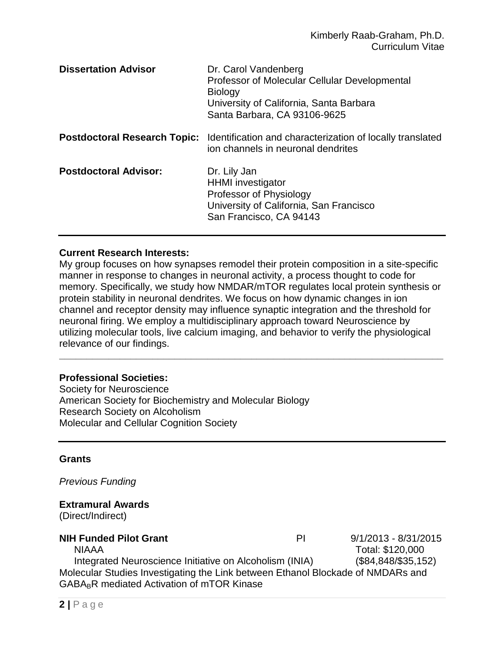| <b>Dissertation Advisor</b>         | Dr. Carol Vandenberg<br>Professor of Molecular Cellular Developmental<br><b>Biology</b><br>University of California, Santa Barbara<br>Santa Barbara, CA 93106-9625 |
|-------------------------------------|--------------------------------------------------------------------------------------------------------------------------------------------------------------------|
| <b>Postdoctoral Research Topic:</b> | Identification and characterization of locally translated<br>ion channels in neuronal dendrites                                                                    |
| <b>Postdoctoral Advisor:</b>        | Dr. Lily Jan<br><b>HHMI</b> investigator<br>Professor of Physiology<br>University of California, San Francisco<br>San Francisco, CA 94143                          |

## **Current Research Interests:**

My group focuses on how synapses remodel their protein composition in a site-specific manner in response to changes in neuronal activity, a process thought to code for memory. Specifically, we study how NMDAR/mTOR regulates local protein synthesis or protein stability in neuronal dendrites. We focus on how dynamic changes in ion channel and receptor density may influence synaptic integration and the threshold for neuronal firing. We employ a multidisciplinary approach toward Neuroscience by utilizing molecular tools, live calcium imaging, and behavior to verify the physiological relevance of our findings.

**\_\_\_\_\_\_\_\_\_\_\_\_\_\_\_\_\_\_\_\_\_\_\_\_\_\_\_\_\_\_\_\_\_\_\_\_\_\_\_\_\_\_\_\_\_\_\_\_\_\_\_\_\_\_\_\_\_\_\_\_\_\_\_\_\_\_\_\_\_\_**

#### **Professional Societies:**

Society for Neuroscience American Society for Biochemistry and Molecular Biology Research Society on Alcoholism Molecular and Cellular Cognition Society

#### **Grants**

*Previous Funding*

# **Extramural Awards**

(Direct/Indirect)

## **NIH Funded Pilot Grant** PI 9/1/2013 - 8/31/2015

NIAAA Total: \$120,000

Integrated Neuroscience Initiative on Alcoholism (INIA) (\$84,848/\$35,152) Molecular Studies Investigating the Link between Ethanol Blockade of NMDARs and GABA<sub>B</sub>R mediated Activation of mTOR Kinase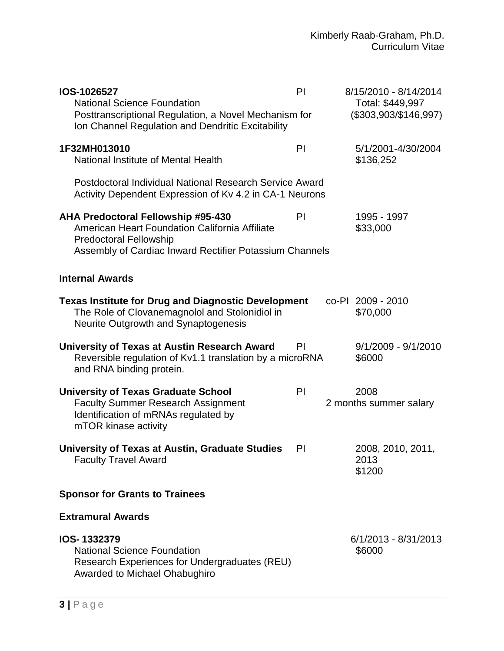| IOS-1026527<br><b>National Science Foundation</b><br>Posttranscriptional Regulation, a Novel Mechanism for<br>Ion Channel Regulation and Dendritic Excitability                         | PI | 8/15/2010 - 8/14/2014<br>Total: \$449,997<br>$($303,903/\$146,997)$ |
|-----------------------------------------------------------------------------------------------------------------------------------------------------------------------------------------|----|---------------------------------------------------------------------|
| 1F32MH013010<br>National Institute of Mental Health                                                                                                                                     | PI | 5/1/2001-4/30/2004<br>\$136,252                                     |
| Postdoctoral Individual National Research Service Award<br>Activity Dependent Expression of Kv 4.2 in CA-1 Neurons                                                                      |    |                                                                     |
| <b>AHA Predoctoral Fellowship #95-430</b><br>American Heart Foundation California Affiliate<br><b>Predoctoral Fellowship</b><br>Assembly of Cardiac Inward Rectifier Potassium Channels | PI | 1995 - 1997<br>\$33,000                                             |
| <b>Internal Awards</b>                                                                                                                                                                  |    |                                                                     |
| <b>Texas Institute for Drug and Diagnostic Development</b><br>The Role of Clovanemagnolol and Stolonidiol in<br>Neurite Outgrowth and Synaptogenesis                                    |    | co-PI 2009 - 2010<br>\$70,000                                       |
| University of Texas at Austin Research Award<br>Reversible regulation of Kv1.1 translation by a microRNA<br>and RNA binding protein.                                                    | PI | $9/1/2009 - 9/1/2010$<br>\$6000                                     |
| <b>University of Texas Graduate School</b><br><b>Faculty Summer Research Assignment</b><br>Identification of mRNAs regulated by<br>mTOR kinase activity                                 | PI | 2008<br>2 months summer salary                                      |
| University of Texas at Austin, Graduate Studies<br><b>Faculty Travel Award</b>                                                                                                          | PI | 2008, 2010, 2011,<br>2013<br>\$1200                                 |
| <b>Sponsor for Grants to Trainees</b>                                                                                                                                                   |    |                                                                     |
| <b>Extramural Awards</b>                                                                                                                                                                |    |                                                                     |
| IOS-1332379<br><b>National Science Foundation</b><br>Research Experiences for Undergraduates (REU)<br>Awarded to Michael Ohabughiro                                                     |    | 6/1/2013 - 8/31/2013<br>\$6000                                      |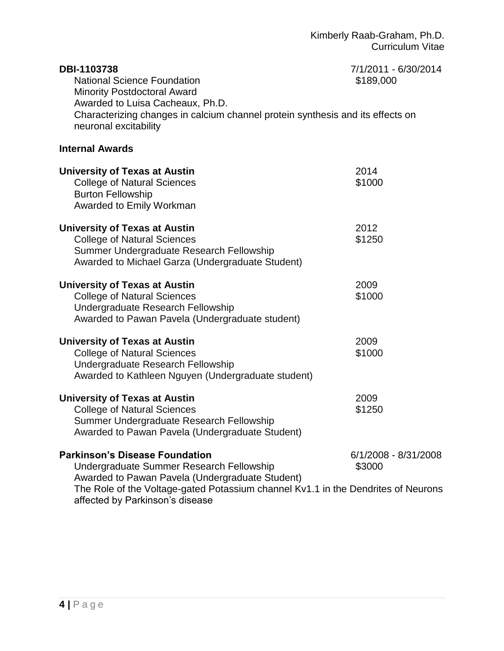| DBI-1103738<br><b>National Science Foundation</b><br><b>Minority Postdoctoral Award</b><br>Awarded to Luisa Cacheaux, Ph.D.<br>Characterizing changes in calcium channel protein synthesis and its effects on<br>neuronal excitability | 7/1/2011 - 6/30/2014<br>\$189,000 |
|----------------------------------------------------------------------------------------------------------------------------------------------------------------------------------------------------------------------------------------|-----------------------------------|
| <b>Internal Awards</b>                                                                                                                                                                                                                 |                                   |
| <b>University of Texas at Austin</b><br><b>College of Natural Sciences</b><br><b>Burton Fellowship</b><br>Awarded to Emily Workman                                                                                                     | 2014<br>\$1000                    |
| <b>University of Texas at Austin</b><br><b>College of Natural Sciences</b><br>Summer Undergraduate Research Fellowship<br>Awarded to Michael Garza (Undergraduate Student)                                                             | 2012<br>\$1250                    |
| <b>University of Texas at Austin</b><br><b>College of Natural Sciences</b><br>Undergraduate Research Fellowship<br>Awarded to Pawan Pavela (Undergraduate student)                                                                     | 2009<br>\$1000                    |
| <b>University of Texas at Austin</b><br><b>College of Natural Sciences</b><br>Undergraduate Research Fellowship<br>Awarded to Kathleen Nguyen (Undergraduate student)                                                                  | 2009<br>\$1000                    |
| <b>University of Texas at Austin</b><br><b>College of Natural Sciences</b><br>Summer Undergraduate Research Fellowship<br>Awarded to Pawan Pavela (Undergraduate Student)                                                              | 2009<br>\$1250                    |
| <b>Parkinson's Disease Foundation</b><br>Undergraduate Summer Research Fellowship<br>Awarded to Pawan Pavela (Undergraduate Student)<br>The Role of the Voltage-gated Potassium channel Kv1.1 in the Dendrites of Neurons              | 6/1/2008 - 8/31/2008<br>\$3000    |

affected by Parkinson's disease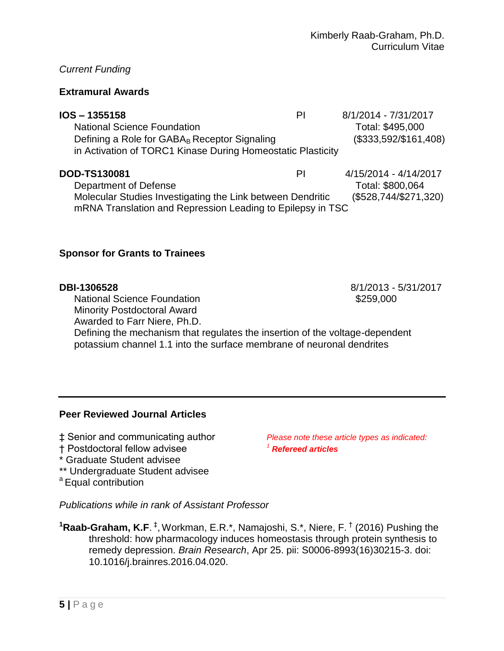## *Current Funding*

## **Extramural Awards**

| IOS - 1355158                                               | PI | 8/1/2014 - 7/31/2017   |
|-------------------------------------------------------------|----|------------------------|
| <b>National Science Foundation</b>                          |    | Total: \$495,000       |
| Defining a Role for GABA <sub>B</sub> Receptor Signaling    |    | $($333,592/\$161,408)$ |
| in Activation of TORC1 Kinase During Homeostatic Plasticity |    |                        |
|                                                             |    |                        |
| DOD-TS130081                                                | PI | 4/15/2014 - 4/14/2017  |

Department of Defense Total: \$800,064 Molecular Studies Investigating the Link between Dendritic (\$528,744/\$271,320) mRNA Translation and Repression Leading to Epilepsy in TSC

## **Sponsor for Grants to Trainees**

National Science Foundation  $$259,000$ Minority Postdoctoral Award

Awarded to Farr Niere, Ph.D.

Defining the mechanism that regulates the insertion of the voltage-dependent potassium channel 1.1 into the surface membrane of neuronal dendrites

#### **Peer Reviewed Journal Articles**

- ‡ Senior and communicating author *Please note these article types as indicated:*
- † Postdoctoral fellow advisee *<sup>1</sup> Refereed articles*
- \* Graduate Student advisee
- \*\* Undergraduate Student advisee
- <sup>a</sup> Equal contribution

*Publications while in rank of Assistant Professor*

<sup>1</sup>Raab-Graham, K.F.<sup>‡</sup>, Workman, E.R.\*, Namajoshi, S.\*, Niere, F.<sup>†</sup> (2016) Pushing the threshold: how pharmacology induces homeostasis through protein synthesis to remedy depression. *Brain Research*, Apr 25. pii: S0006-8993(16)30215-3. doi: 10.1016/j.brainres.2016.04.020.

**DBI-1306528** 8/1/2013 - 5/31/2017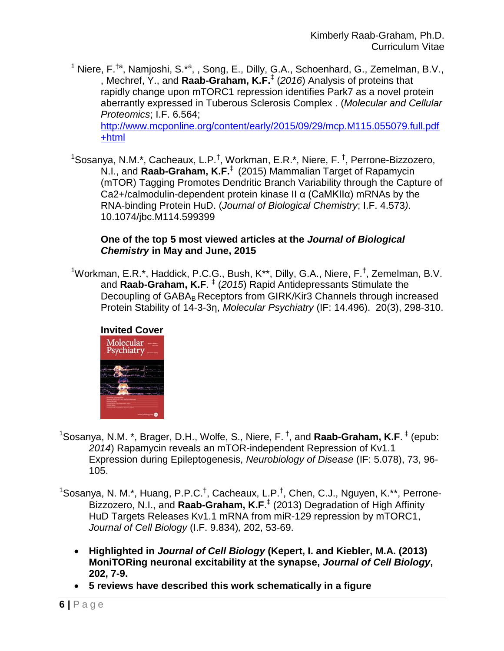- <sup>1</sup> Niere, F.<sup>†a</sup>, Namjoshi, S.<sup>\*a</sup>, , Song, E., Dilly, G.A., Schoenhard, G., Zemelman, B.V., , Mechref, Y., and **Raab-Graham, K.F.** ‡ (*2016*) Analysis of proteins that rapidly change upon mTORC1 repression identifies Park7 as a novel protein aberrantly expressed in Tuberous Sclerosis Complex . (*Molecular and Cellular Proteomics*; I.F. 6.564; [http://www.mcponline.org/content/early/2015/09/29/mcp.M115.055079.full.pdf](http://www.mcponline.org/content/early/2015/09/29/mcp.M115.055079.full.pdf+html) [+html](http://www.mcponline.org/content/early/2015/09/29/mcp.M115.055079.full.pdf+html)
- <sup>1</sup>Sosanya, N.M.\*, Cacheaux, L.P.<sup>†</sup>, Workman, E.R.\*, Niere, F.<sup>†</sup>, Perrone-Bizzozero, N.I., and **Raab-Graham, K.F.** ‡ (2015) Mammalian Target of Rapamycin (mTOR) Tagging Promotes Dendritic Branch Variability through the Capture of Ca2+/calmodulin-dependent protein kinase II α (CaMKIIα) mRNAs by the RNA-binding Protein HuD. (*Journal of Biological Chemistry*; I.F. 4.573*)*. 10.1074/jbc.M114.599399

## **One of the top 5 most viewed articles at the** *Journal of Biological Chemistry* **in May and June, 2015**

<sup>1</sup>Workman, E.R.\*, Haddick, P.C.G., Bush, K\*\*, Dilly, G.A., Niere, F.<sup>†</sup>, Zemelman, B.V. and **Raab-Graham, K.F**. ‡ (*2015*) Rapid Antidepressants Stimulate the Decoupling of GABA<sub>B</sub> Receptors from GIRK/Kir3 Channels through increased Protein Stability of 14-3-3η, *Molecular Psychiatry* (IF: 14.496). 20(3), 298-310.



- <sup>1</sup>Sosanya, N.M. \*, Brager, D.H., Wolfe, S., Niere, F. <sup>†</sup>, and **Raab-Graham, K.F**. <sup>‡</sup> (epub: *2014*) Rapamycin reveals an mTOR-independent Repression of Kv1.1 Expression during Epileptogenesis, *Neurobiology of Disease* (IF: 5.078), 73, 96- 105.
- <sup>1</sup>Sosanya, N. M.\*, Huang, P.P.C.<sup>†</sup>, Cacheaux, L.P.<sup>†</sup>, Chen, C.J., Nguyen, K.\*\*, Perrone-Bizzozero, N.I., and **Raab-Graham, K.F**. ‡ (2013) Degradation of High Affinity HuD Targets Releases Kv1.1 mRNA from miR-129 repression by mTORC1, *Journal of Cell Biology* (I.F. 9.834)*,* 202, 53-69.
	- **Highlighted in** *Journal of Cell Biology* **(Kepert, I. and Kiebler, M.A. (2013) MoniTORing neuronal excitability at the synapse,** *Journal of Cell Biology***, 202, 7-9.**
	- **5 reviews have described this work schematically in a figure**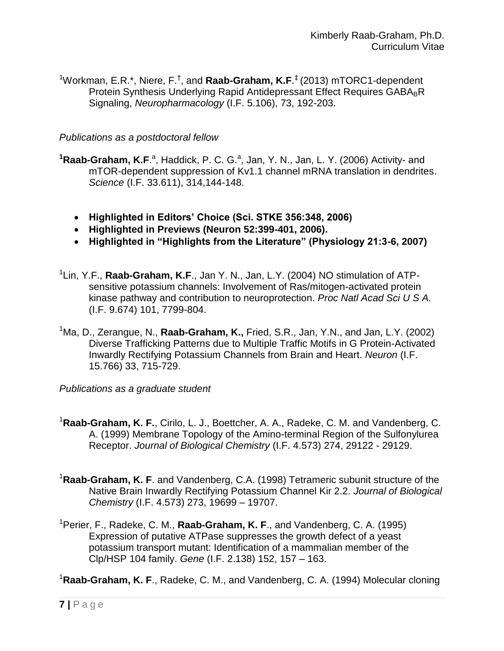<sup>1</sup>Workman, E.R.\*, Niere, F.<sup>†</sup>, and **Raab-Graham, K.F**.<sup>‡</sup> (2013) mTORC1-dependent Protein Synthesis Underlying Rapid Antidepressant Effect Requires GABA<sub>B</sub>R Signaling, *Neuropharmacology* (I.F. 5.106), 73, 192-203.

## *Publications as a postdoctoral fellow*

- <sup>1</sup>Raab-Graham, K.F.<sup>a</sup>, Haddick, P. C. G.<sup>a</sup>, Jan, Y. N., Jan, L. Y. (2006) [Activity-](http://www.ncbi.nlm.nih.gov/pubmed/17023663) and [mTOR-dependent suppression of Kv1.1 channel mRNA translation in dendrites.](http://www.ncbi.nlm.nih.gov/pubmed/17023663) *Science* (I.F. 33.611), 314,144-148.
	- **Highlighted in Editors' Choice (Sci. STKE 356:348, 2006)**
	- **Highlighted in Previews (Neuron 52:399-401, 2006).**
	- **Highlighted in "Highlights from the Literature" (Physiology 21:3-6, 2007)**
- <sup>1</sup>Lin, Y.F., **Raab-Graham, K.F**., Jan Y. N., Jan, L.Y. (2004) NO stimulation of ATPsensitive potassium channels: Involvement of Ras/mitogen-activated protein kinase pathway and contribution to neuroprotection. *Proc Natl Acad Sci U S A.*  (I.F. 9.674) 101, 7799-804.
- <sup>1</sup>Ma, D., Zerangue, N., **Raab-Graham, K.,** Fried, S.R., Jan, Y.N., and Jan, L.Y. (2002) Diverse Trafficking Patterns due to Multiple Traffic Motifs in G Protein-Activated Inwardly Rectifying Potassium Channels from Brain and Heart. *Neuron* (I.F. 15.766) 33, 715-729.
- *Publications as a graduate student*
- <sup>1</sup>**Raab-Graham, K. F.**, Cirilo, L. J., Boettcher, A. A., Radeke, C. M. and Vandenberg, C. A. (1999) Membrane Topology of the Amino-terminal Region of the Sulfonylurea Receptor. *Journal of Biological Chemistry* (I.F. 4.573) 274, 29122 - 29129.
- <sup>1</sup>**Raab-Graham, K. F**. and Vandenberg, C.A. (1998) Tetrameric subunit structure of the Native Brain Inwardly Rectifying Potassium Channel Kir 2.2. *Journal of Biological Chemistry* (I.F. 4.573) 273, 19699 – 19707.
- <sup>1</sup>Perier, F., Radeke, C. M., **Raab-Graham, K. F**., and Vandenberg, C. A. (1995) Expression of putative ATPase suppresses the growth defect of a yeast potassium transport mutant: Identification of a mammalian member of the Clp/HSP 104 family. *Gene* (I.F. 2.138) 152, 157 – 163.

<sup>1</sup>**Raab-Graham, K. F**., Radeke, C. M., and Vandenberg, C. A. (1994) Molecular cloning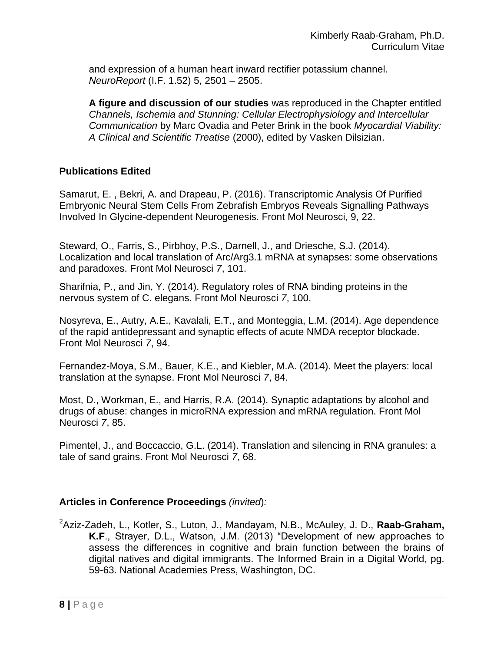and expression of a human heart inward rectifier potassium channel. *NeuroReport* (I.F. 1.52) 5, 2501 – 2505.

**A figure and discussion of our studies** was reproduced in the Chapter entitled *Channels, Ischemia and Stunning: Cellular Electrophysiology and Intercellular Communication* by Marc Ovadia and Peter Brink in the book *Myocardial Viability: A Clinical and Scientific Treatise* (2000), edited by Vasken Dilsizian.

## **Publications Edited**

[Samarut,](http://frontiersin.org/Community/WhosWhoActivity.aspx?sname=EricSAMARUT&UID=317202) E. , Bekri, A. and [Drapeau,](http://frontiersin.org/Community/WhosWhoActivity.aspx?sname=PierreDrapeau&UID=6491) P. (2016). Transcriptomic [Analysis Of Purified](http://frontiersin.org/Journal/FullText.aspx?d=0&name=Molecular_Neuroscience&ART_DOI=10.3389/fnmol.2016.00022)  [Embryonic Neural Stem Cells From Zebrafish Embryos Reveals Signalling Pathways](http://frontiersin.org/Journal/FullText.aspx?d=0&name=Molecular_Neuroscience&ART_DOI=10.3389/fnmol.2016.00022)  [Involved In Glycine-dependent Neurogenesis.](http://frontiersin.org/Journal/FullText.aspx?d=0&name=Molecular_Neuroscience&ART_DOI=10.3389/fnmol.2016.00022) Front Mol Neurosci, 9, 22.

Steward, O., Farris, S., Pirbhoy, P.S., Darnell, J., and Driesche, S.J. (2014). Localization and local translation of Arc/Arg3.1 mRNA at synapses: some observations and paradoxes. Front Mol Neurosci *7*, 101.

Sharifnia, P., and Jin, Y. (2014). Regulatory roles of RNA binding proteins in the nervous system of C. elegans. Front Mol Neurosci *7*, 100.

Nosyreva, E., Autry, A.E., Kavalali, E.T., and Monteggia, L.M. (2014). Age dependence of the rapid antidepressant and synaptic effects of acute NMDA receptor blockade. Front Mol Neurosci *7*, 94.

Fernandez-Moya, S.M., Bauer, K.E., and Kiebler, M.A. (2014). Meet the players: local translation at the synapse. Front Mol Neurosci *7*, 84.

Most, D., Workman, E., and Harris, R.A. (2014). Synaptic adaptations by alcohol and drugs of abuse: changes in microRNA expression and mRNA regulation. Front Mol Neurosci *7*, 85.

Pimentel, J., and Boccaccio, G.L. (2014). Translation and silencing in RNA granules: a tale of sand grains. Front Mol Neurosci *7*, 68.

## **Articles in Conference Proceedings** *(invited*)*:*

<sup>2</sup>Aziz-Zadeh, L., Kotler, S., Luton, J., Mandayam, N.B., McAuley, J. D., **Raab-Graham, K.F**., Strayer, D.L., Watson, J.M. (2013) "Development of new approaches to assess the differences in cognitive and brain function between the brains of digital natives and digital immigrants. The Informed Brain in a Digital World, pg. 59-63. National Academies Press, Washington, DC.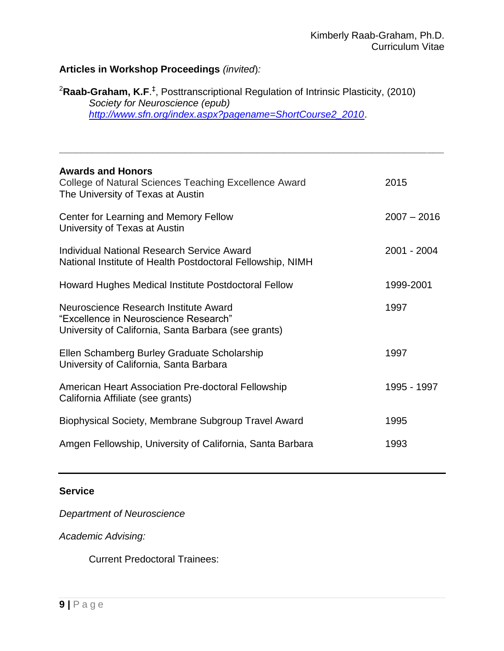# **Articles in Workshop Proceedings** *(invited*)*:*

<sup>2</sup>**Raab-Graham, K.F**. ‡ , Posttranscriptional Regulation of Intrinsic Plasticity, (2010) *Society for Neuroscience (epub) [http://www.sfn.org/index.aspx?pagename=ShortCourse2\\_2010](http://www.sfn.org/index.aspx?pagename=ShortCourse2_2010)*.

**\_\_\_\_\_\_\_\_\_\_\_\_\_\_\_\_\_\_\_\_\_\_\_\_\_\_\_\_\_\_\_\_\_\_\_\_\_\_\_\_\_\_\_\_\_\_\_\_\_\_\_\_\_\_\_\_\_\_\_\_\_\_\_\_\_\_\_\_\_\_**

| 2015          |
|---------------|
| $2007 - 2016$ |
| 2001 - 2004   |
| 1999-2001     |
| 1997          |
| 1997          |
| 1995 - 1997   |
| 1995          |
| 1993          |
|               |

## **Service**

*Department of Neuroscience*

*Academic Advising:*

Current Predoctoral Trainees: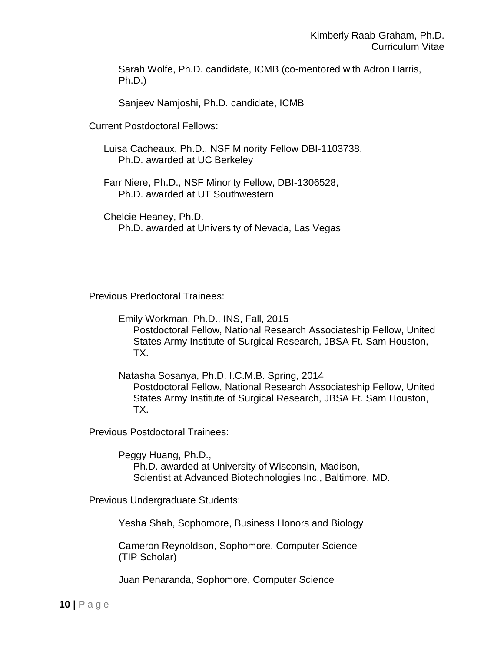Sarah Wolfe, Ph.D. candidate, ICMB (co-mentored with Adron Harris, Ph.D.)

Sanjeev Namjoshi, Ph.D. candidate, ICMB

Current Postdoctoral Fellows:

Luisa Cacheaux, Ph.D., NSF Minority Fellow DBI-1103738, Ph.D. awarded at UC Berkeley

Farr Niere, Ph.D., NSF Minority Fellow, DBI-1306528, Ph.D. awarded at UT Southwestern

Chelcie Heaney, Ph.D. Ph.D. awarded at University of Nevada, Las Vegas

Previous Predoctoral Trainees:

Emily Workman, Ph.D., INS, Fall, 2015 Postdoctoral Fellow, National Research Associateship Fellow, United States Army Institute of Surgical Research, JBSA Ft. Sam Houston, TX.

Natasha Sosanya, Ph.D. I.C.M.B. Spring, 2014 Postdoctoral Fellow, National Research Associateship Fellow, United States Army Institute of Surgical Research, JBSA Ft. Sam Houston, TX.

Previous Postdoctoral Trainees:

Peggy Huang, Ph.D., Ph.D. awarded at University of Wisconsin, Madison, Scientist at Advanced Biotechnologies Inc., Baltimore, MD.

Previous Undergraduate Students:

Yesha Shah, Sophomore, Business Honors and Biology

Cameron Reynoldson, Sophomore, Computer Science (TIP Scholar)

Juan Penaranda, Sophomore, Computer Science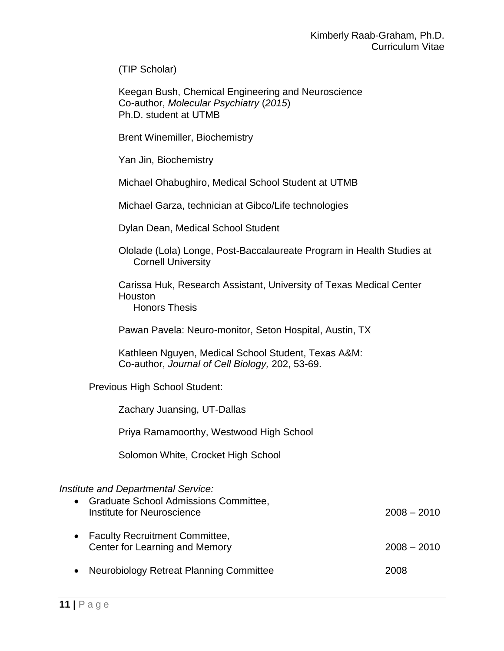(TIP Scholar)

Keegan Bush, Chemical Engineering and Neuroscience Co-author, *Molecular Psychiatry* (*2015*) Ph.D. student at UTMB

Brent Winemiller, Biochemistry

Yan Jin, Biochemistry

Michael Ohabughiro, Medical School Student at UTMB

Michael Garza, technician at Gibco/Life technologies

Dylan Dean, Medical School Student

Ololade (Lola) Longe, Post-Baccalaureate Program in Health Studies at Cornell University

Carissa Huk, Research Assistant, University of Texas Medical Center Houston Honors Thesis

Pawan Pavela: Neuro-monitor, Seton Hospital, Austin, TX

Kathleen Nguyen, Medical School Student, Texas A&M: Co-author, *Journal of Cell Biology,* 202, 53-69.

Previous High School Student:

Zachary Juansing, UT-Dallas

Priya Ramamoorthy, Westwood High School

Solomon White, Crocket High School

#### *Institute and Departmental Service:*

| $\bullet$ | Graduate School Admissions Committee,<br>Institute for Neuroscience | $2008 - 2010$ |
|-----------|---------------------------------------------------------------------|---------------|
|           | • Faculty Recruitment Committee,<br>Center for Learning and Memory  | $2008 - 2010$ |
|           |                                                                     |               |

Neurobiology Retreat Planning Committee 2008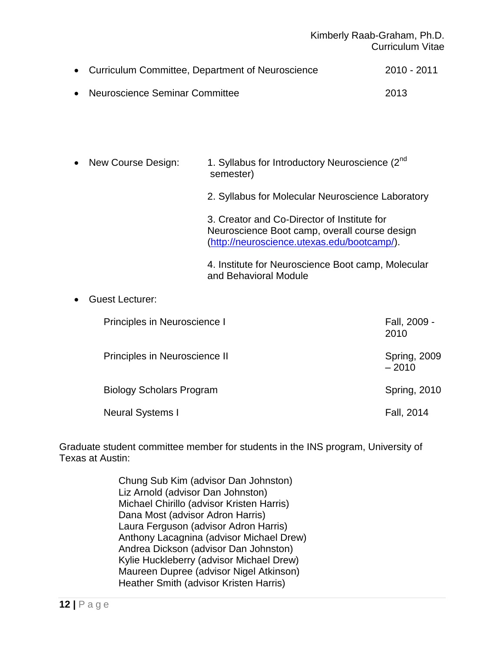## Kimberly Raab-Graham, Ph.D. Curriculum Vitae

| • Curriculum Committee, Department of Neuroscience | 2010 - 2011 |
|----------------------------------------------------|-------------|
| • Neuroscience Seminar Committee                   | 2013        |

• New Course Design: 1. Syllabus for Introductory Neuroscience (2<sup>nd</sup>) semester) 2. Syllabus for Molecular Neuroscience Laboratory 3. Creator and Co-Director of Institute for Neuroscience Boot camp, overall course design [\(http://neuroscience.utexas.edu/bootcamp/\)](http://neuroscience.utexas.edu/bootcamp/). 4. Institute for Neuroscience Boot camp, Molecular

and Behavioral Module

## Guest Lecturer:

| Principles in Neuroscience I    | Fall, 2009 -<br>2010           |
|---------------------------------|--------------------------------|
| Principles in Neuroscience II   | <b>Spring, 2009</b><br>$-2010$ |
| <b>Biology Scholars Program</b> | <b>Spring, 2010</b>            |
| <b>Neural Systems I</b>         | Fall, 2014                     |

Graduate student committee member for students in the INS program, University of Texas at Austin:

> Chung Sub Kim (advisor Dan Johnston) Liz Arnold (advisor Dan Johnston) Michael Chirillo (advisor Kristen Harris) Dana Most (advisor Adron Harris) Laura Ferguson (advisor Adron Harris) Anthony Lacagnina (advisor Michael Drew) Andrea Dickson (advisor Dan Johnston) Kylie Huckleberry (advisor Michael Drew) Maureen Dupree (advisor Nigel Atkinson) Heather Smith (advisor Kristen Harris)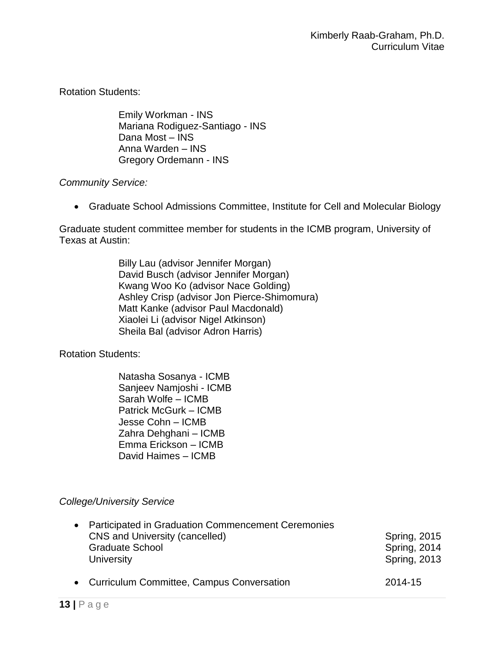Rotation Students:

Emily Workman - INS Mariana Rodiguez-Santiago - INS Dana Most – INS Anna Warden – INS Gregory Ordemann - INS

## *Community Service:*

Graduate School Admissions Committee, Institute for Cell and Molecular Biology

Graduate student committee member for students in the ICMB program, University of Texas at Austin:

> Billy Lau (advisor Jennifer Morgan) David Busch (advisor Jennifer Morgan) Kwang Woo Ko (advisor Nace Golding) Ashley Crisp (advisor Jon Pierce-Shimomura) Matt Kanke (advisor Paul Macdonald) Xiaolei Li (advisor Nigel Atkinson) Sheila Bal (advisor Adron Harris)

Rotation Students:

Natasha Sosanya - ICMB Sanjeev Namjoshi - ICMB Sarah Wolfe – ICMB Patrick McGurk – ICMB Jesse Cohn – ICMB Zahra Dehghani – ICMB Emma Erickson – ICMB David Haimes – ICMB

# *College/University Service*

| • Participated in Graduation Commencement Ceremonies<br>CNS and University (cancelled)<br><b>Graduate School</b><br>University | <b>Spring, 2015</b><br><b>Spring, 2014</b><br><b>Spring, 2013</b> |
|--------------------------------------------------------------------------------------------------------------------------------|-------------------------------------------------------------------|
| • Curriculum Committee, Campus Conversation                                                                                    | 2014-15                                                           |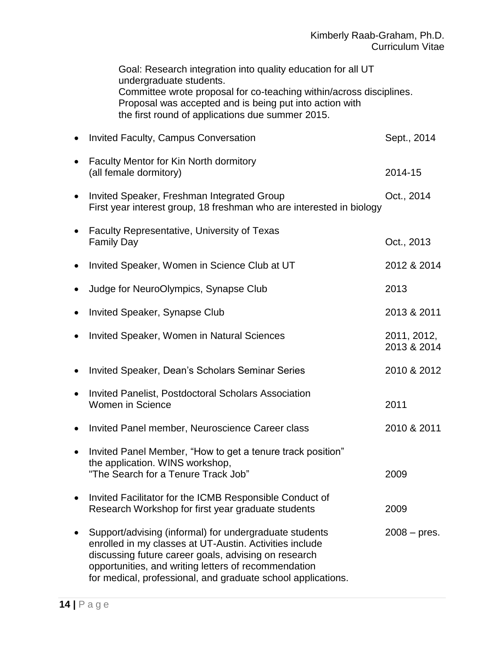Goal: Research integration into quality education for all UT undergraduate students. Committee wrote proposal for co-teaching within/across disciplines. Proposal was accepted and is being put into action with the first round of applications due summer 2015.

|           | <b>Invited Faculty, Campus Conversation</b>                                                                                                                                                                                                                                                       | Sept., 2014                |
|-----------|---------------------------------------------------------------------------------------------------------------------------------------------------------------------------------------------------------------------------------------------------------------------------------------------------|----------------------------|
|           | Faculty Mentor for Kin North dormitory<br>(all female dormitory)                                                                                                                                                                                                                                  | 2014-15                    |
| $\bullet$ | Invited Speaker, Freshman Integrated Group<br>First year interest group, 18 freshman who are interested in biology                                                                                                                                                                                | Oct., 2014                 |
|           | <b>Faculty Representative, University of Texas</b><br><b>Family Day</b>                                                                                                                                                                                                                           | Oct., 2013                 |
|           | Invited Speaker, Women in Science Club at UT                                                                                                                                                                                                                                                      | 2012 & 2014                |
| ٠         | Judge for NeuroOlympics, Synapse Club                                                                                                                                                                                                                                                             | 2013                       |
|           | Invited Speaker, Synapse Club                                                                                                                                                                                                                                                                     | 2013 & 2011                |
|           | <b>Invited Speaker, Women in Natural Sciences</b>                                                                                                                                                                                                                                                 | 2011, 2012,<br>2013 & 2014 |
|           | Invited Speaker, Dean's Scholars Seminar Series                                                                                                                                                                                                                                                   | 2010 & 2012                |
| ٠         | <b>Invited Panelist, Postdoctoral Scholars Association</b><br><b>Women in Science</b>                                                                                                                                                                                                             | 2011                       |
| $\bullet$ | Invited Panel member, Neuroscience Career class                                                                                                                                                                                                                                                   | 2010 & 2011                |
| $\bullet$ | Invited Panel Member, "How to get a tenure track position"<br>the application. WINS workshop,<br>"The Search for a Tenure Track Job"                                                                                                                                                              | 2009                       |
|           | Invited Facilitator for the ICMB Responsible Conduct of<br>Research Workshop for first year graduate students                                                                                                                                                                                     | 2009                       |
|           | Support/advising (informal) for undergraduate students<br>enrolled in my classes at UT-Austin. Activities include<br>discussing future career goals, advising on research<br>opportunities, and writing letters of recommendation<br>for medical, professional, and graduate school applications. | $2008 - pres.$             |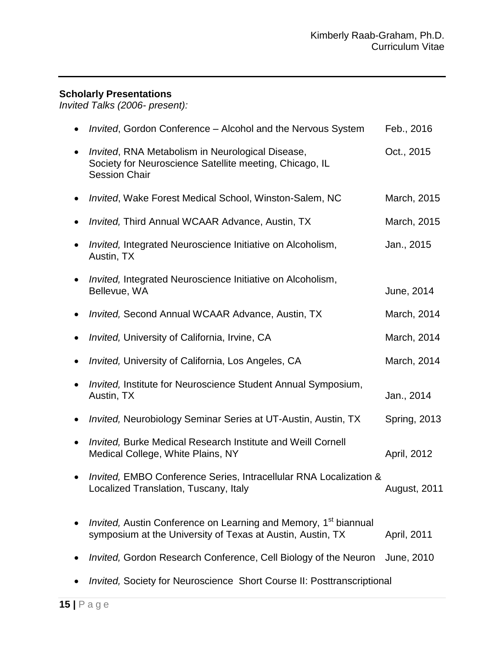## **Scholarly Presentations**

*Invited Talks (2006- present):*

| <i>Invited</i> , Gordon Conference – Alcohol and the Nervous System                                                                       | Feb., 2016          |
|-------------------------------------------------------------------------------------------------------------------------------------------|---------------------|
| Invited, RNA Metabolism in Neurological Disease,<br>Society for Neuroscience Satellite meeting, Chicago, IL<br><b>Session Chair</b>       | Oct., 2015          |
| <i>Invited, Wake Forest Medical School, Winston-Salem, NC</i>                                                                             | March, 2015         |
| Invited, Third Annual WCAAR Advance, Austin, TX                                                                                           | March, 2015         |
| <i>Invited, Integrated Neuroscience Initiative on Alcoholism,</i><br>Austin, TX                                                           | Jan., 2015          |
| Invited, Integrated Neuroscience Initiative on Alcoholism,<br>Bellevue, WA                                                                | June, 2014          |
| <i>Invited, Second Annual WCAAR Advance, Austin, TX</i>                                                                                   | March, 2014         |
| <i>Invited, University of California, Irvine, CA</i>                                                                                      | March, 2014         |
| <i>Invited, University of California, Los Angeles, CA</i>                                                                                 | March, 2014         |
| <i>Invited, Institute for Neuroscience Student Annual Symposium,</i><br>Austin, TX                                                        | Jan., 2014          |
| Invited, Neurobiology Seminar Series at UT-Austin, Austin, TX                                                                             | <b>Spring, 2013</b> |
| <b>Invited, Burke Medical Research Institute and Weill Cornell</b><br>Medical College, White Plains, NY                                   | April, 2012         |
| Invited, EMBO Conference Series, Intracellular RNA Localization &<br>Localized Translation, Tuscany, Italy                                | <b>August, 2011</b> |
| Invited, Austin Conference on Learning and Memory, 1 <sup>st</sup> biannual<br>symposium at the University of Texas at Austin, Austin, TX | April, 2011         |
| Invited, Gordon Research Conference, Cell Biology of the Neuron                                                                           | June, 2010          |
| Invited, Society for Neuroscience Short Course II: Posttranscriptional                                                                    |                     |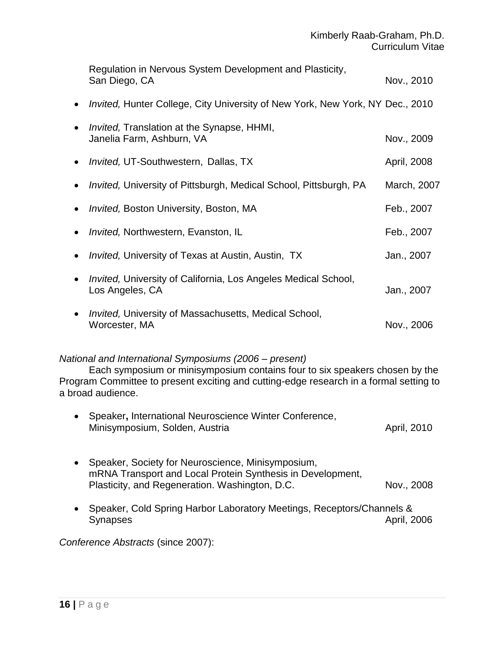|           | Regulation in Nervous System Development and Plasticity,<br>San Diego, CA                | Nov., 2010  |
|-----------|------------------------------------------------------------------------------------------|-------------|
| $\bullet$ | <i>Invited, Hunter College, City University of New York, New York, NY Dec., 2010</i>     |             |
| $\bullet$ | Invited, Translation at the Synapse, HHMI,<br>Janelia Farm, Ashburn, VA                  | Nov., 2009  |
| $\bullet$ | <i>Invited, UT-Southwestern, Dallas, TX</i>                                              | April, 2008 |
| $\bullet$ | <i>Invited, University of Pittsburgh, Medical School, Pittsburgh, PA</i>                 | March, 2007 |
| $\bullet$ | <i>Invited, Boston University, Boston, MA</i>                                            | Feb., 2007  |
| $\bullet$ | <i>Invited, Northwestern, Evanston, IL</i>                                               | Feb., 2007  |
| $\bullet$ | <i>Invited, University of Texas at Austin, Austin, TX</i>                                | Jan., 2007  |
| $\bullet$ | <i>Invited, University of California, Los Angeles Medical School,</i><br>Los Angeles, CA | Jan., 2007  |
| $\bullet$ | Invited, University of Massachusetts, Medical School,<br>Worcester, MA                   | Nov., 2006  |

## *National and International Symposiums (2006 – present)*

Each symposium or minisymposium contains four to six speakers chosen by the Program Committee to present exciting and cutting-edge research in a formal setting to a broad audience.

| • Speaker, International Neuroscience Winter Conference, |             |
|----------------------------------------------------------|-------------|
| Minisymposium, Solden, Austria                           | April, 2010 |

- Speaker, Society for Neuroscience, Minisymposium, mRNA Transport and Local Protein Synthesis in Development, Plasticity, and Regeneration. Washington, D.C. Nov., 2008
- Speaker, Cold Spring Harbor Laboratory Meetings, Receptors/Channels & Synapses April, 2006

*Conference Abstracts* (since 2007):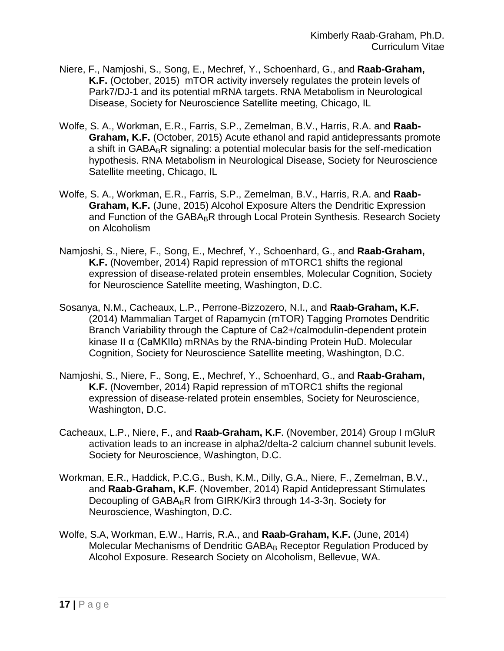- Niere, F., Namjoshi, S., Song, E., Mechref, Y., Schoenhard, G., and **Raab-Graham, K.F.** (October, 2015) mTOR activity inversely regulates the protein levels of Park7/DJ-1 and its potential mRNA targets. RNA Metabolism in Neurological Disease, Society for Neuroscience Satellite meeting, Chicago, IL
- Wolfe, S. A., Workman, E.R., Farris, S.P., Zemelman, B.V., Harris, R.A. and **Raab-Graham, K.F.** (October, 2015) Acute ethanol and rapid antidepressants promote a shift in  $GABA_BR$  signaling: a potential molecular basis for the self-medication hypothesis. RNA Metabolism in Neurological Disease, Society for Neuroscience Satellite meeting, Chicago, IL
- Wolfe, S. A., Workman, E.R., Farris, S.P., Zemelman, B.V., Harris, R.A. and **Raab-Graham, K.F.** (June, 2015) Alcohol Exposure Alters the Dendritic Expression and Function of the GABA<sub>B</sub>R through Local Protein Synthesis. Research Society on Alcoholism
- Namjoshi, S., Niere, F., Song, E., Mechref, Y., Schoenhard, G., and **Raab-Graham, K.F.** (November, 2014) Rapid repression of mTORC1 shifts the regional expression of disease-related protein ensembles, Molecular Cognition, Society for Neuroscience Satellite meeting, Washington, D.C.
- Sosanya, N.M., Cacheaux, L.P., Perrone-Bizzozero, N.I., and **Raab-Graham, K.F.** (2014) Mammalian Target of Rapamycin (mTOR) Tagging Promotes Dendritic Branch Variability through the Capture of Ca2+/calmodulin-dependent protein kinase II α (CaMKIIα) mRNAs by the RNA-binding Protein HuD. Molecular Cognition, Society for Neuroscience Satellite meeting, Washington, D.C.
- Namjoshi, S., Niere, F., Song, E., Mechref, Y., Schoenhard, G., and **Raab-Graham, K.F.** (November, 2014) Rapid repression of mTORC1 shifts the regional expression of disease-related protein ensembles, Society for Neuroscience, Washington, D.C.
- Cacheaux, L.P., Niere, F., and **Raab-Graham, K.F**. (November, 2014) Group I mGluR activation leads to an increase in alpha2/delta-2 calcium channel subunit levels. Society for Neuroscience, Washington, D.C.
- Workman, E.R., Haddick, P.C.G., Bush, K.M., Dilly, G.A., Niere, F., Zemelman, B.V., and **Raab-Graham, K.F**. (November, 2014) Rapid Antidepressant Stimulates Decoupling of GABA<sub>B</sub>R from GIRK/Kir3 through 14-3-3η. Society for Neuroscience, Washington, D.C.
- Wolfe, S.A, Workman, E.W., Harris, R.A., and **Raab-Graham, K.F.** (June, 2014) Molecular Mechanisms of Dendritic GABA $_B$  Receptor Regulation Produced by Alcohol Exposure. Research Society on Alcoholism, Bellevue, WA.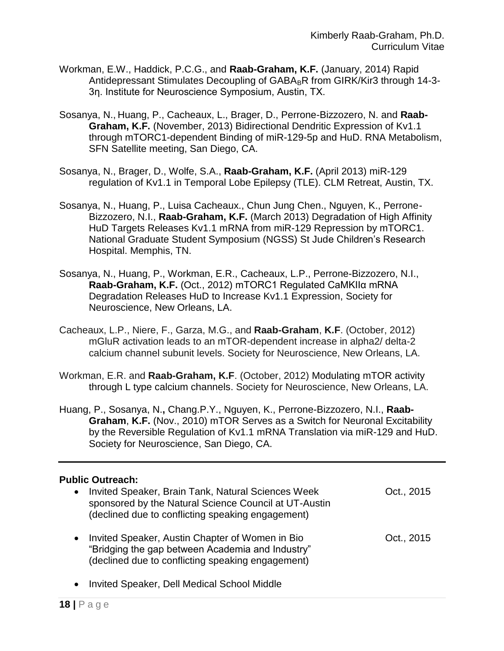- Workman, E.W., Haddick, P.C.G., and **Raab-Graham, K.F.** (January, 2014) Rapid Antidepressant Stimulates Decoupling of  $GABA_BR$  from  $GIRK/K$ ir3 through 14-3-3η. Institute for Neuroscience Symposium, Austin, TX.
- Sosanya, N., Huang, P., Cacheaux, L., Brager, D., Perrone-Bizzozero, N. and **Raab-Graham, K.F.** (November, 2013) Bidirectional Dendritic Expression of Kv1.1 through mTORC1-dependent Binding of miR-129-5p and HuD. RNA Metabolism, SFN Satellite meeting, San Diego, CA.
- Sosanya, N., Brager, D., Wolfe, S.A., **Raab-Graham, K.F.** (April 2013) miR-129 regulation of Kv1.1 in Temporal Lobe Epilepsy (TLE). CLM Retreat, Austin, TX.
- Sosanya, N., Huang, P., Luisa Cacheaux., Chun Jung Chen., Nguyen, K., Perrone-Bizzozero, N.I., **Raab-Graham, K.F.** (March 2013) Degradation of High Affinity HuD Targets Releases Kv1.1 mRNA from miR-129 Repression by mTORC1. National Graduate Student Symposium (NGSS) St Jude Children's Research Hospital. Memphis, TN.
- Sosanya, N., Huang, P., Workman, E.R., Cacheaux, L.P., Perrone-Bizzozero, N.I., **Raab-Graham, K.F.** (Oct., 2012) mTORC1 Regulated CaMKIIα mRNA Degradation Releases HuD to Increase Kv1.1 Expression, Society for Neuroscience, New Orleans, LA.
- Cacheaux, L.P., Niere, F., Garza, M.G., and **Raab-Graham**, **K.F**. (October, 2012) mGluR activation leads to an mTOR-dependent increase in alpha2/ delta-2 calcium channel subunit levels. Society for Neuroscience, New Orleans, LA.
- Workman, E.R. and **Raab-Graham, K.F**. (October, 2012) Modulating mTOR activity through L type calcium channels. Society for Neuroscience, New Orleans, LA.
- Huang, P., Sosanya, N.**,** Chang.P.Y., Nguyen, K., Perrone-Bizzozero, N.I., **Raab-Graham**, **K.F.** (Nov., 2010) mTOR Serves as a Switch for Neuronal Excitability by the Reversible Regulation of Kv1.1 mRNA Translation via miR-129 and HuD. Society for Neuroscience, San Diego, CA.

## **Public Outreach:**

| Invited Speaker, Brain Tank, Natural Sciences Week<br>sponsored by the Natural Science Council at UT-Austin<br>(declined due to conflicting speaking engagement) | Oct., 2015 |
|------------------------------------------------------------------------------------------------------------------------------------------------------------------|------------|
| Invited Speaker, Austin Chapter of Women in Bio<br>"Bridging the gap between Academia and Industry"<br>(declined due to conflicting speaking engagement)         | Oct., 2015 |
| Invited Speaker, Dell Medical School Middle                                                                                                                      |            |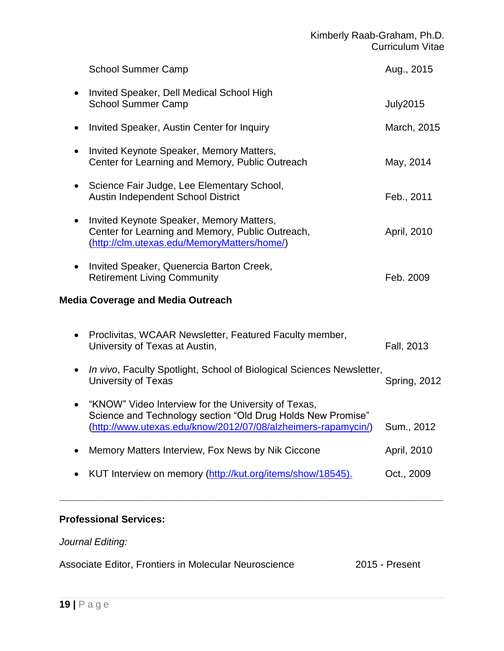|           | <b>School Summer Camp</b>                                                                                                                                                           | Aug., 2015      |
|-----------|-------------------------------------------------------------------------------------------------------------------------------------------------------------------------------------|-----------------|
|           | Invited Speaker, Dell Medical School High<br><b>School Summer Camp</b>                                                                                                              | <b>July2015</b> |
|           | Invited Speaker, Austin Center for Inquiry                                                                                                                                          | March, 2015     |
|           | Invited Keynote Speaker, Memory Matters,<br>Center for Learning and Memory, Public Outreach                                                                                         | May, 2014       |
| $\bullet$ | Science Fair Judge, Lee Elementary School,<br>Austin Independent School District                                                                                                    | Feb., 2011      |
| $\bullet$ | Invited Keynote Speaker, Memory Matters,<br>Center for Learning and Memory, Public Outreach,<br>(http://clm.utexas.edu/MemoryMatters/home/)                                         | April, 2010     |
| $\bullet$ | Invited Speaker, Quenercia Barton Creek,<br><b>Retirement Living Community</b>                                                                                                      | Feb. 2009       |
|           | <b>Media Coverage and Media Outreach</b>                                                                                                                                            |                 |
|           | Proclivitas, WCAAR Newsletter, Featured Faculty member,<br>University of Texas at Austin,                                                                                           | Fall, 2013      |
| $\bullet$ | In vivo, Faculty Spotlight, School of Biological Sciences Newsletter,<br>University of Texas                                                                                        | Spring, 2012    |
|           | "KNOW" Video Interview for the University of Texas,<br>Science and Technology section "Old Drug Holds New Promise"<br>(http://www.utexas.edu/know/2012/07/08/alzheimers-rapamycin/) | Sum., 2012      |
|           | Memory Matters Interview, Fox News by Nik Ciccone                                                                                                                                   | April, 2010     |
|           | KUT Interview on memory (http://kut.org/items/show/18545).                                                                                                                          | Oct., 2009      |

# **Professional Services:**

# *Journal Editing:*

Associate Editor, Frontiers in Molecular Neuroscience 2015 - Present

**\_\_\_\_\_\_\_\_\_\_\_\_\_\_\_\_\_\_\_\_\_\_\_\_\_\_\_\_\_\_\_\_\_\_\_\_\_\_\_\_\_\_\_\_\_\_\_\_\_\_\_\_\_\_\_\_\_\_\_\_\_\_\_\_\_\_\_\_\_\_**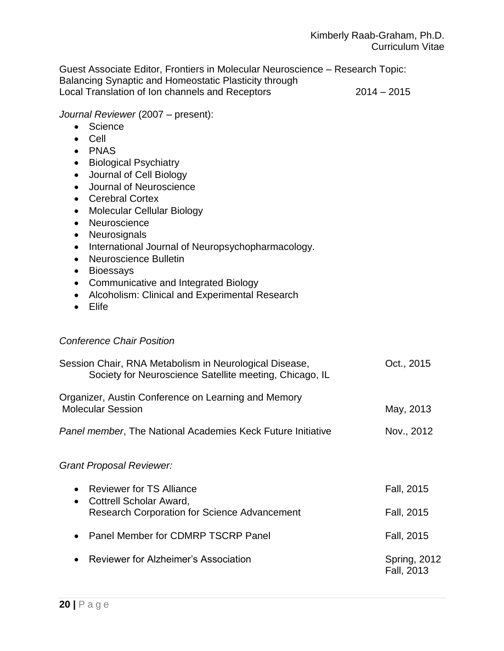Guest Associate Editor, Frontiers in Molecular Neuroscience – Research Topic: Balancing Synaptic and Homeostatic Plasticity through Local Translation of Ion channels and Receptors 2014 – 2015

#### *Journal Reviewer* (2007 – present):

- Science
- Cell
- PNAS
- Biological Psychiatry
- Journal of Cell Biology
- Journal of Neuroscience
- Cerebral Cortex
- Molecular Cellular Biology
- Neuroscience
- Neurosignals
- International Journal of Neuropsychopharmacology.
- Neuroscience Bulletin
- Bioessays
- Communicative and Integrated Biology
- Alcoholism: Clinical and Experimental Research
- Elife

## *Conference Chair Position*

| Session Chair, RNA Metabolism in Neurological Disease,<br>Society for Neuroscience Satellite meeting, Chicago, IL | Oct., 2015                 |
|-------------------------------------------------------------------------------------------------------------------|----------------------------|
| Organizer, Austin Conference on Learning and Memory<br><b>Molecular Session</b>                                   | May, 2013                  |
| <b>Panel member, The National Academies Keck Future Initiative</b>                                                | Nov., 2012                 |
| Grant Proposal Reviewer:                                                                                          |                            |
| <b>Reviewer for TS Alliance</b><br>$\bullet$<br>Cottrell Scholar Award,<br>$\bullet$                              | Fall, 2015                 |
| <b>Research Corporation for Science Advancement</b>                                                               | Fall, 2015                 |
| Panel Member for CDMRP TSCRP Panel<br>$\bullet$                                                                   | Fall, 2015                 |
| Reviewer for Alzheimer's Association<br>$\bullet$                                                                 | Spring, 2012<br>Fall, 2013 |